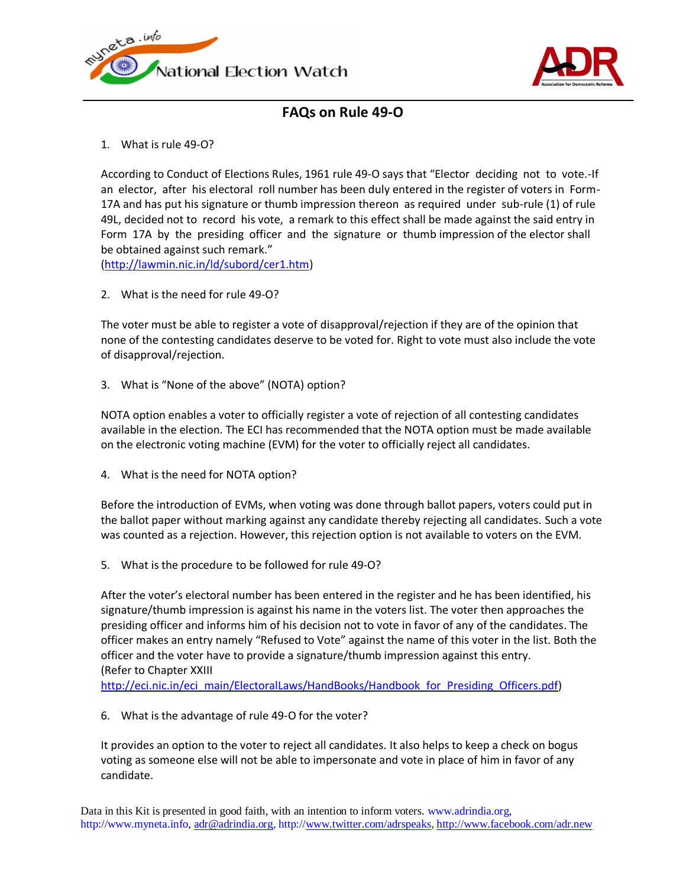



## **FAQs on Rule 49-O**

1. What is rule 49-O?

According to Conduct of Elections Rules, 1961 rule 49-O says that "Elector deciding not to vote.-If an elector, after his electoral roll number has been duly entered in the register of voters in Form-17A and has put his signature or thumb impression thereon as required under sub-rule (1) of rule 49L, decided not to record his vote, a remark to this effect shall be made against the said entry in Form 17A by the presiding officer and the signature or thumb impression of the elector shall be obtained against such remark."

[\(http://lawmin.nic.in/ld/subord/cer1.htm\)](http://lawmin.nic.in/ld/subord/cer1.htm)

2. What is the need for rule 49-O?

The voter must be able to register a vote of disapproval/rejection if they are of the opinion that none of the contesting candidates deserve to be voted for. Right to vote must also include the vote of disapproval/rejection.

3. What is "None of the above" (NOTA) option?

NOTA option enables a voter to officially register a vote of rejection of all contesting candidates available in the election. The ECI has recommended that the NOTA option must be made available on the electronic voting machine (EVM) for the voter to officially reject all candidates.

4. What is the need for NOTA option?

Before the introduction of EVMs, when voting was done through ballot papers, voters could put in the ballot paper without marking against any candidate thereby rejecting all candidates. Such a vote was counted as a rejection. However, this rejection option is not available to voters on the EVM.

5. What is the procedure to be followed for rule 49-O?

After the voter's electoral number has been entered in the register and he has been identified, his signature/thumb impression is against his name in the voters list. The voter then approaches the presiding officer and informs him of his decision not to vote in favor of any of the candidates. The officer makes an entry namely "Refused to Vote" against the name of this voter in the list. Both the officer and the voter have to provide a signature/thumb impression against this entry. (Refer to Chapter XXIII

[http://eci.nic.in/eci\\_main/ElectoralLaws/HandBooks/Handbook\\_for\\_Presiding\\_Officers.pdf\)](http://eci.nic.in/eci_main/ElectoralLaws/HandBooks/Handbook_for_Presiding_Officers.pdf)

6. What is the advantage of rule 49-O for the voter?

It provides an option to the voter to reject all candidates. It also helps to keep a check on bogus voting as someone else will not be able to impersonate and vote in place of him in favor of any candidate.